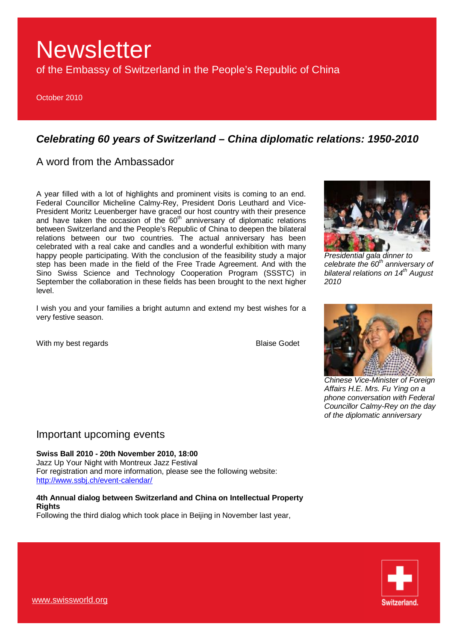of the Embassy of Switzerland in the People's Republic of China

October 2010

## *Celebrating 60 years of Switzerland – China diplomatic relations: 1950-2010*

A word from the Ambassador

A year filled with a lot of highlights and prominent visits is coming to an end. Federal Councillor Micheline Calmy-Rey, President Doris Leuthard and Vice-President Moritz Leuenberger have graced our host country with their presence and have taken the occasion of the  $60<sup>th</sup>$  anniversary of diplomatic relations between Switzerland and the People's Republic of China to deepen the bilateral relations between our two countries. The actual anniversary has been celebrated with a real cake and candles and a wonderful exhibition with many happy people participating. With the conclusion of the feasibility study a major step has been made in the field of the Free Trade Agreement. And with the Sino Swiss Science and Technology Cooperation Program (SSSTC) in September the collaboration in these fields has been brought to the next higher level.

I wish you and your families a bright autumn and extend my best wishes for a very festive season.

With my best regards **Blaise Godet** 



*Presidential gala dinner to celebrate the 60th anniversary of bilateral relations on 14th August 2010* 



*Chinese Vice-Minister of Foreign Affairs H.E. Mrs. Fu Ying on a phone conversation with Federal Councillor Calmy-Rey on the day of the diplomatic anniversary* 

### Important upcoming events

**Swiss Ball 2010 - 20th November 2010, 18:00** 

Jazz Up Your Night with Montreux Jazz Festival For registration and more information, please see the following website: <http://www.ssbj.ch/event-calendar/>

### **4th Annual dialog between Switzerland and China on Intellectual Property Rights**

Following the third dialog which took place in Beijing in November last year,

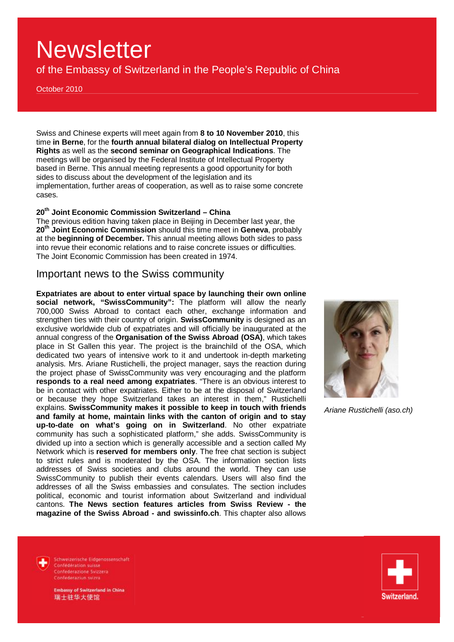of the Embassy of Switzerland in the People's Republic of China

October 2010

Swiss and Chinese experts will meet again from **8 to 10 November 2010**, this time **in Berne**, for the **fourth annual bilateral dialog on Intellectual Property Rights** as well as the **second seminar on Geographical Indications**. The meetings will be organised by the Federal Institute of Intellectual Property based in Berne. This annual meeting represents a good opportunity for both sides to discuss about the development of the legislation and its implementation, further areas of cooperation, as well as to raise some concrete cases.

#### **20th Joint Economic Commission Switzerland – China**

The previous edition having taken place in Beijing in December last year, the **20th Joint Economic Commission** should this time meet in **Geneva**, probably at the **beginning of December.** This annual meeting allows both sides to pass into revue their economic relations and to raise concrete issues or difficulties. The Joint Economic Commission has been created in 1974.

### Important news to the Swiss community

**Expatriates are about to enter virtual space by launching their own online social network, "SwissCommunity":** The platform will allow the nearly 700,000 Swiss Abroad to contact each other, exchange information and strengthen ties with their country of origin. **SwissCommunity** is designed as an exclusive worldwide club of expatriates and will officially be inaugurated at the annual congress of the **Organisation of the Swiss Abroad (OSA)**, which takes place in St Gallen this year. The project is the brainchild of the OSA, which dedicated two years of intensive work to it and undertook in-depth marketing analysis. Mrs. Ariane Rustichelli, the project manager, says the reaction during the project phase of SwissCommunity was very encouraging and the platform **responds to a real need among expatriates**. "There is an obvious interest to be in contact with other expatriates. Either to be at the disposal of Switzerland or because they hope Switzerland takes an interest in them," Rustichelli explains. **SwissCommunity makes it possible to keep in touch with friends and family at home, maintain links with the canton of origin and to stay up-to-date on what's going on in Switzerland**. No other expatriate community has such a sophisticated platform," she adds. SwissCommunity is divided up into a section which is generally accessible and a section called My Network which is **reserved for members only**. The free chat section is subject to strict rules and is moderated by the OSA. The information section lists addresses of Swiss societies and clubs around the world. They can use SwissCommunity to publish their events calendars. Users will also find the addresses of all the Swiss embassies and consulates. The section includes political, economic and tourist information about Switzerland and individual cantons. **The News section features articles from Swiss Review - the magazine of the Swiss Abroad - and swissinfo.ch**. This chapter also allows



*Ariane Rustichelli (aso.ch)* 



Schweizerische Eidgenossenschaft Confédération suisse Confederazione Svizzera Confederaziun svizra

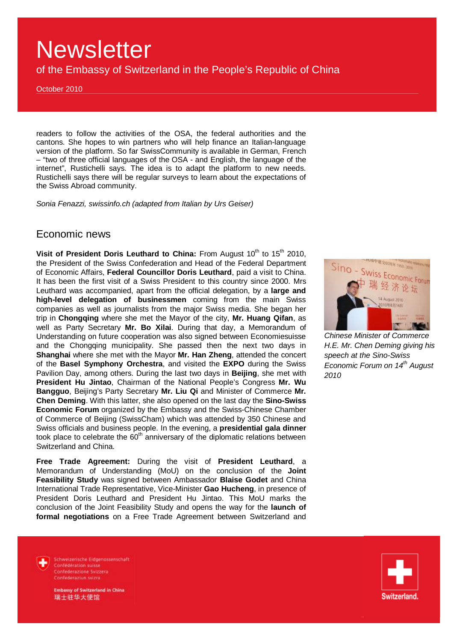of the Embassy of Switzerland in the People's Republic of China

October 2010

readers to follow the activities of the OSA, the federal authorities and the cantons. She hopes to win partners who will help finance an Italian-language version of the platform. So far SwissCommunity is available in German, French – "two of three official languages of the OSA - and English, the language of the internet", Rustichelli says. The idea is to adapt the platform to new needs. Rustichelli says there will be regular surveys to learn about the expectations of the Swiss Abroad community.

*Sonia Fenazzi, swissinfo.ch (adapted from Italian by Urs Geiser)* 

### Economic news

**Visit of President Doris Leuthard to China:** From August 10<sup>th</sup> to 15<sup>th</sup> 2010, the President of the Swiss Confederation and Head of the Federal Department of Economic Affairs, **Federal Councillor Doris Leuthard**, paid a visit to China. It has been the first visit of a Swiss President to this country since 2000. Mrs Leuthard was accompanied, apart from the official delegation, by a **large and high-level delegation of businessmen** coming from the main Swiss companies as well as journalists from the major Swiss media. She began her trip in **Chongqing** where she met the Mayor of the city, **Mr. Huang Qifan**, as well as Party Secretary **Mr. Bo Xilai**. During that day, a Memorandum of Understanding on future cooperation was also signed between Economiesuisse and the Chongqing municipality. She passed then the next two days in **Shanghai** where she met with the Mayor **Mr. Han Zheng**, attended the concert of the **Basel Symphony Orchestra**, and visited the **EXPO** during the Swiss Pavilion Day, among others. During the last two days in **Beijing**, she met with **President Hu Jintao**, Chairman of the National People's Congress **Mr. Wu Bangguo**, Beijing's Party Secretary **Mr. Liu Qi** and Minister of Commerce **Mr. Chen Deming**. With this latter, she also opened on the last day the **Sino-Swiss Economic Forum** organized by the Embassy and the Swiss-Chinese Chamber of Commerce of Beijing (SwissCham) which was attended by 350 Chinese and Swiss officials and business people. In the evening, a **presidential gala dinner** took place to celebrate the  $60<sup>th</sup>$  anniversary of the diplomatic relations between Switzerland and China.

**Free Trade Agreement:** During the visit of **President Leuthard**, a Memorandum of Understanding (MoU) on the conclusion of the **Joint Feasibility Study** was signed between Ambassador **Blaise Godet** and China International Trade Representative, Vice-Minister **Gao Hucheng**, in presence of President Doris Leuthard and President Hu Jintao. This MoU marks the conclusion of the Joint Feasibility Study and opens the way for the **launch of formal negotiations** on a Free Trade Agreement between Switzerland and



*Chinese Minister of Commerce H.E. Mr. Chen Deming giving his speech at the Sino-Swiss Economic Forum on 14th August 2010* 

Schweizerische Eidnenossenschaft Confédération suisse Confederazione Svizzera Confederaziun svizra

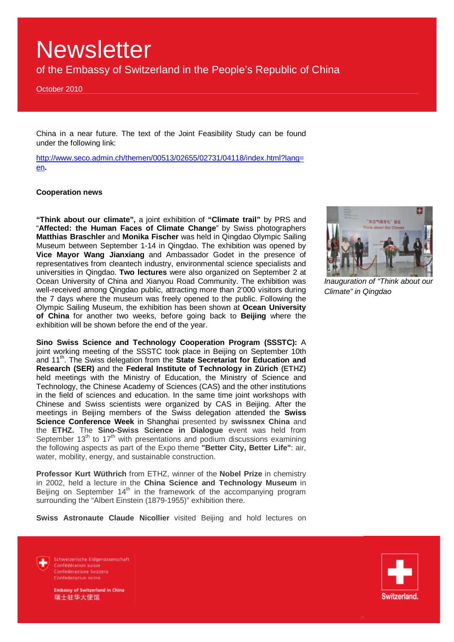of the Embassy of Switzerland in the People's Republic of China

October 2010

China in a near future. The text of the Joint Feasibility Study can be found under the following link:

[http://www.seco.admin.ch/themen/00513/02655/02731/04118/index.html?lang=](http://www.seco.admin.ch/themen/00513/02655/02731/04118/index.html?lang) en**.**

#### **Cooperation news**

**"Think about our climate",** a joint exhibition of **"Climate trail"** by PRS and "**Affected: the Human Faces of Climate Change**" by Swiss photographers **Matthias Braschler** and **Monika Fischer** was held in Qingdao Olympic Sailing Museum between September 1-14 in Qingdao. The exhibition was opened by **Vice Mayor Wang Jianxiang** and Ambassador Godet in the presence of representatives from cleantech industry, environmental science specialists and universities in Qingdao. **Two lectures** were also organized on September 2 at Ocean University of China and Xianyou Road Community. The exhibition was well-received among Qingdao public, attracting more than 2'000 visitors during the 7 days where the museum was freely opened to the public. Following the Olympic Sailing Museum, the exhibition has been shown at **Ocean University of China** for another two weeks, before going back to **Beijing** where the exhibition will be shown before the end of the year.

**Sino Swiss Science and Technology Cooperation Program (SSSTC):** A joint working meeting of the SSSTC took place in Beijing on September 10th and 11<sup>th</sup>. The Swiss delegation from the State Secretariat for Education and **Research (SER)** and the **Federal Institute of Technology in Zürich (ETHZ)** held meetings with the Ministry of Education, the Ministry of Science and Technology, the Chinese Academy of Sciences (CAS) and the other institutions in the field of sciences and education. In the same time joint workshops with Chinese and Swiss scientists were organized by CAS in Beijing. After the meetings in Beijing members of the Swiss delegation attended the **Swiss Science Conference Week** in Shanghai presented by **swissnex China** and the **ETHZ.** The **Sino-Swiss Science in Dialogue** event was held from September  $13<sup>th</sup>$  to  $17<sup>th</sup>$  with presentations and podium discussions examining the following aspects as part of the Expo theme **"Better City, Better Life"**: air, water, mobility, energy, and sustainable construction.

**Professor Kurt Wüthrich** from ETHZ, winner of the **Nobel Prize** in chemistry in 2002, held a lecture in the **China Science and Technology Museum** in Beijing on September  $14<sup>th</sup>$  in the framework of the accompanying program surrounding the "Albert Einstein (1879-1955)" exhibition there.

**Swiss Astronaute Claude Nicollier** visited Beijing and hold lectures on



*Inauguration of "Think about our Climate" in Qingdao* 



Schweizerische Eidnenossenschaft Confédération suisse Confederazione Svizzera Confederaziun svizra

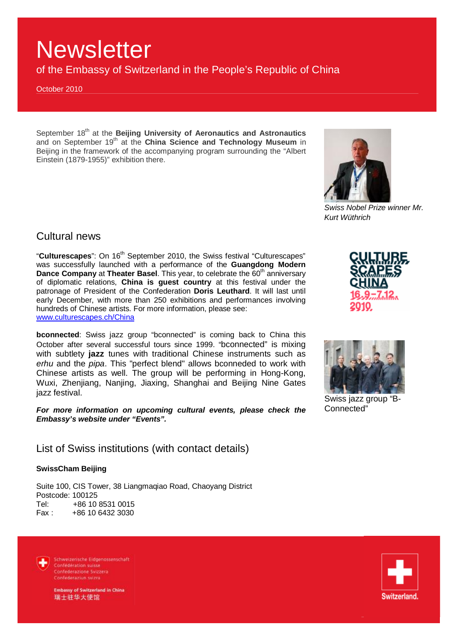of the Embassy of Switzerland in the People's Republic of China

October 2010

September 18th at the **Beijing University of Aeronautics and Astronautics** and on September 19<sup>th</sup> at the China Science and Technology Museum in Beijing in the framework of the accompanying program surrounding the "Albert Einstein (1879-1955)" exhibition there.



*Swiss Nobel Prize winner Mr. Kurt Wüthrich* 

### Cultural news

"Culturescapes": On 16<sup>th</sup> September 2010, the Swiss festival "Culturescapes" was successfully launched with a performance of the **Guangdong Modern Dance Company** at **Theater Basel**. This year, to celebrate the 60<sup>th</sup> anniversary of diplomatic relations, **China is guest country** at this festival under the patronage of President of the Confederation **Doris Leuthard**. It will last until early December, with more than 250 exhibitions and performances involving hundreds of Chinese artists. For more information, please see: [www.culturescapes.ch/China](http://www.culturescapes.ch/China)

**bconnected**: Swiss jazz group "bconnected" is coming back to China this October after several successful tours since 1999. "bconnected" is mixing with subtlety **jazz** tunes with traditional Chinese instruments such as *erhu* and the *pipa*. This "perfect blend" allows bconneded to work with Chinese artists as well. The group will be performing in Hong-Kong, Wuxi, Zhenjiang, Nanjing, Jiaxing, Shanghai and Beijing Nine Gates jazz festival.

*For more information on upcoming cultural events, please check the Embassy's website under "Events".* 

List of Swiss institutions (with contact details)

### **SwissCham Beijing**

Suite 100, CIS Tower, 38 Liangmaqiao Road, Chaoyang District Postcode: 100125 Tel: +86 10 8531 0015<br>Fax: +86 10 6432 3030 +86 10 6432 3030



Schweizerische Eidgenossenschaft Confédération suisse Confederazione Svizzera Confederaziun svizra



Swiss jazz group "B-Connected"

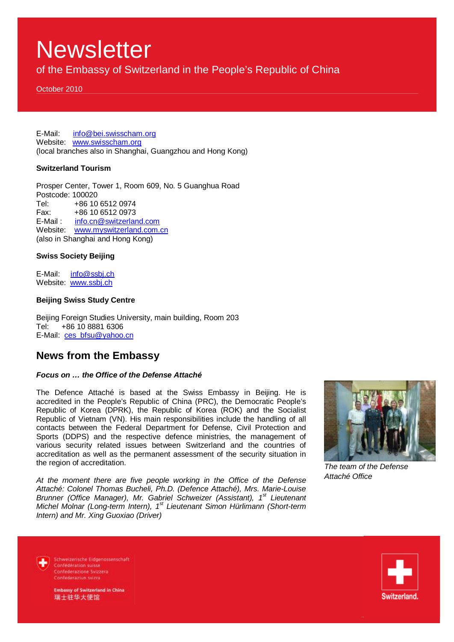of the Embassy of Switzerland in the People's Republic of China

October 2010

E-Mail: [info@bei.swisscham.org](mailto:info@bei.swisscham.org) Website: [www.swisscham.org](http://www.swisscham.org) (local branches also in Shanghai, Guangzhou and Hong Kong)

#### **Switzerland Tourism**

Prosper Center, Tower 1, Room 609, No. 5 Guanghua Road Postcode: 100020 Tel: +86 10 6512 0974  $Fax: +86, 10, 6512, 0973$ E-Mail : [info.cn@switzerland.com](mailto:info.cn@switzerland.com) Website: [www.myswitzerland.com.cn](http://www.myswitzerland.com.cn) (also in Shanghai and Hong Kong)

#### **Swiss Society Beijing**

E-Mail: [info@ssbj.ch](mailto:info@ssbj.ch) Website: www.ssbj.ch

#### **Beijing Swiss Study Centre**

Beijing Foreign Studies University, main building, Room 203 Tel: +86 10 8881 6306 E-Mail: [ces\\_bfsu@yahoo.cn](mailto:ces_bfsu@yahoo.cn)

### **News from the Embassy**

#### *Focus on … the Office of the Defense Attaché*

The Defence Attaché is based at the Swiss Embassy in Beijing. He is accredited in the People's Republic of China (PRC), the Democratic People's Republic of Korea (DPRK), the Republic of Korea (ROK) and the Socialist Republic of Vietnam (VN). His main responsibilities include the handling of all contacts between the Federal Department for Defense, Civil Protection and Sports (DDPS) and the respective defence ministries, the management of various security related issues between Switzerland and the countries of accreditation as well as the permanent assessment of the security situation in the region of accreditation.

*At the moment there are five people working in the Office of the Defense Attaché: Colonel Thomas Bucheli, Ph.D. (Defence Attaché), Mrs. Marie-Louise Brunner (Office Manager), Mr. Gabriel Schweizer (Assistant), 1st Lieutenant Michel Molnar (Long-term Intern), 1st Lieutenant Simon Hürlimann (Short-term Intern) and Mr. Xing Guoxiao (Driver)* 



*The team of the Defense Attaché Office*

Schweizerische Eidgenossenschaft Confédération suisse Confederazione Svizzera Confederaziun svizra

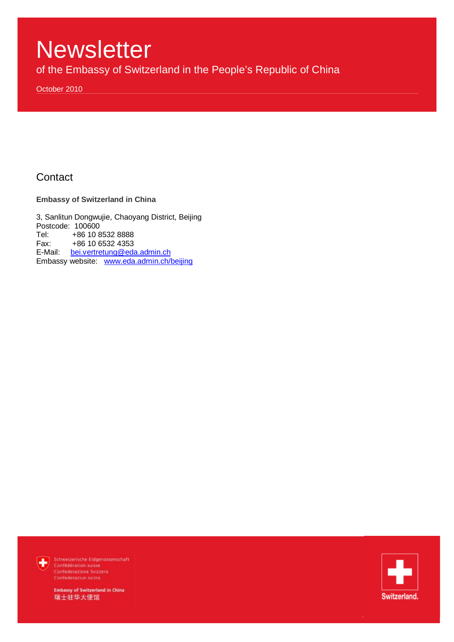of the Embassy of Switzerland in the People's Republic of China

October 2010

## **Contact**

**Embassy of Switzerland in China** 

3, Sanlitun Dongwujie, Chaoyang District, Beijing Postcode: 100600<br>Tel: +86 10 8 Tel: +86 10 8532 8888<br>Fax: +86 10 6532 4353 +86 10 6532 4353 E-Mail: [bei.vertretung@eda.admin.ch](mailto:bei.vertretung@eda.admin.ch)  Embassy website: [www.eda.admin.ch/beijing](http://www.eda.admin.ch/beijing)



Schweizerische Eidgenossenschaft Confederation suisse